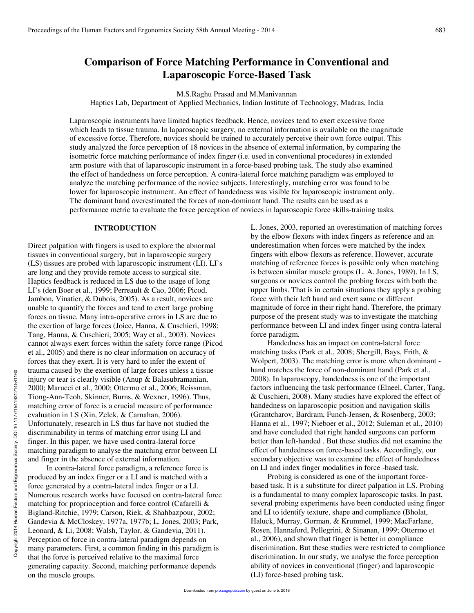# **Comparison of Force Matching Performance in Conventional and Laparoscopic Force-Based Task**

M.S.Raghu Prasad and M.Manivannan

Haptics Lab, Department of Applied Mechanics, Indian Institute of Technology, Madras, India

Laparoscopic instruments have limited haptics feedback. Hence, novices tend to exert excessive force which leads to tissue trauma. In laparoscopic surgery, no external information is available on the magnitude of excessive force. Therefore, novices should be trained to accurately perceive their own force output. This study analyzed the force perception of 18 novices in the absence of external information, by comparing the isometric force matching performance of index finger (i.e. used in conventional procedures) in extended arm posture with that of laparoscopic instrument in a force-based probing task. The study also examined the effect of handedness on force perception. A contra-lateral force matching paradigm was employed to analyze the matching performance of the novice subjects. Interestingly, matching error was found to be lower for laparoscopic instrument. An effect of handedness was visible for laparoscopic instrument only. The dominant hand overestimated the forces of non-dominant hand. The results can be used as a performance metric to evaluate the force perception of novices in laparoscopic force skills-training tasks.

## **INTRODUCTION**

Direct palpation with fingers is used to explore the abnormal tissues in conventional surgery, but in laparoscopic surgery (LS) tissues are probed with laparoscopic instrument (LI). LI's are long and they provide remote access to surgical site. Haptics feedback is reduced in LS due to the usage of long LI's (den Boer et al., 1999; Perreault & Cao, 2006; Picod, Jambon, Vinatier, & Dubois, 2005). As a result, novices are unable to quantify the forces and tend to exert large probing forces on tissue. Many intra-operative errors in LS are due to the exertion of large forces (Joice, Hanna, & Cuschieri, 1998; Tang, Hanna, & Cuschieri, 2005; Way et al., 2003). Novices cannot always exert forces within the safety force range (Picod et al., 2005) and there is no clear information on accuracy of forces that they exert. It is very hard to infer the extent of trauma caused by the exertion of large forces unless a tissue injury or tear is clearly visible (Anup & Balasubramanian, 2000; Marucci et al., 2000; Ottermo et al., 2006; Reissman, Tiong-Ann-Teoh, Skinner, Burns, & Wexner, 1996). Thus, matching error of force is a crucial measure of performance evaluation in LS (Xin, Zelek, & Carnahan, 2006). Unfortunately, research in LS thus far have not studied the discriminability in terms of matching error using LI and finger. In this paper, we have used contra-lateral force matching paradigm to analyse the matching error between LI and finger in the absence of external information.

 In contra-lateral force paradigm, a reference force is produced by an index finger or a LI and is matched with a force generated by a contra-lateral index finger or a LI. Numerous research works have focused on contra-lateral force matching for proprioception and force control (Cafarelli & Bigland-Ritchie, 1979; Carson, Riek, & Shahbazpour, 2002; Gandevia & McCloskey, 1977a, 1977b; L. Jones, 2003; Park, Leonard, & Li, 2008; Walsh, Taylor, & Gandevia, 2011). Perception of force in contra-lateral paradigm depends on many parameters. First, a common finding in this paradigm is that the force is perceived relative to the maximal force generating capacity. Second, matching performance depends on the muscle groups.

L. Jones, 2003, reported an overestimation of matching forces by the elbow flexors with index fingers as reference and an underestimation when forces were matched by the index fingers with elbow flexors as reference. However, accurate matching of reference forces is possible only when matching is between similar muscle groups (L. A. Jones, 1989). In LS, surgeons or novices control the probing forces with both the upper limbs. That is in certain situations they apply a probing force with their left hand and exert same or different magnitude of force in their right hand. Therefore, the primary purpose of the present study was to investigate the matching performance between LI and index finger using contra-lateral force paradigm.

Handedness has an impact on contra-lateral force matching tasks (Park et al., 2008; Shergill, Bays, Frith, & Wolpert, 2003). The matching error is more when dominant hand matches the force of non-dominant hand (Park et al., 2008). In laparoscopy, handedness is one of the important factors influencing the task performance (Elneel, Carter, Tang, & Cuschieri, 2008). Many studies have explored the effect of handedness on laparoscopic position and navigation skills (Grantcharov, Bardram, Funch-Jensen, & Rosenberg, 2003; Hanna et al., 1997; Nieboer et al., 2012; Suleman et al., 2010) and have concluded that right handed surgeons can perform better than left-handed . But these studies did not examine the effect of handedness on force-based tasks. Accordingly, our secondary objective was to examine the effect of handedness on LI and index finger modalities in force -based task.

Probing is considered as one of the important forcebased task. It is a substitute for direct palpation in LS. Probing is a fundamental to many complex laparoscopic tasks. In past, several probing experiments have been conducted using finger and LI to identify texture, shape and compliance (Bholat, Haluck, Murray, Gorman, & Krummel, 1999; MacFarlane, Rosen, Hannaford, Pellegrini, & Sinanan, 1999; Ottermo et al., 2006), and shown that finger is better in compliance discrimination. But these studies were restricted to compliance discrimination. In our study, we analyse the force perception ability of novices in conventional (finger) and laparoscopic (LI) force-based probing task.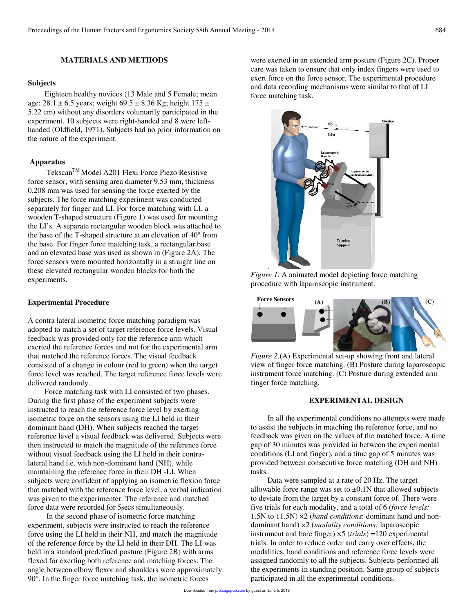## **MATERIALS AND METHODS**

#### **Subjects**

Eighteen healthy novices (13 Male and 5 Female; mean age:  $28.1 \pm 6.5$  years; weight  $69.5 \pm 8.36$  Kg; height  $175 \pm 1.5$ 5.22 cm) without any disorders voluntarily participated in the experiment. 10 subjects were right-handed and 8 were lefthanded (Oldfield, 1971). Subjects had no prior information on the nature of the experiment.

## **Apparatus**

Tekscan<sup>™</sup> Model A201 Flexi Force Piezo Resistive force sensor, with sensing area diameter 9.53 mm, thickness 0.208 mm was used for sensing the force exerted by the subjects. The force matching experiment was conducted separately for finger and LI. For force matching with LI, a wooden T-shaped structure (Figure 1) was used for mounting the LI's. A separate rectangular wooden block was attached to the base of the T-shaped structure at an elevation of 40º from the base. For finger force matching task, a rectangular base and an elevated base was used as shown in (Figure 2A). The force sensors were mounted horizontally in a straight line on these elevated rectangular wooden blocks for both the experiments.

## **Experimental Procedure**

A contra lateral isometric force matching paradigm was adopted to match a set of target reference force levels. Visual feedback was provided only for the reference arm which exerted the reference forces and not for the experimental arm that matched the reference forces. The visual feedback consisted of a change in colour (red to green) when the target force level was reached. The target reference force levels were delivered randomly.

Force matching task with LI consisted of two phases. During the first phase of the experiment subjects were instructed to reach the reference force level by exerting isometric force on the sensors using the LI held in their dominant hand (DH). When subjects reached the target reference level a visual feedback was delivered. Subjects were then instructed to match the magnitude of the reference force without visual feedback using the LI held in their contralateral hand i.e. with non-dominant hand (NH), while maintaining the reference force in their DH -LI. When subjects were confident of applying an isometric flexion force that matched with the reference force level, a verbal indication was given to the experimenter. The reference and matched force data were recorded for 5secs simultaneously.

 In the second phase of isometric force matching experiment, subjects were instructed to reach the reference force using the LI held in their NH, and match the magnitude of the reference force by the LI held in their DH. The LI was held in a standard predefined posture (Figure 2B) with arms flexed for exerting both reference and matching forces. The angle between elbow flexor and shoulders were approximately 90°. In the finger force matching task, the isometric forces

were exerted in an extended arm posture (Figure 2C). Proper care was taken to ensure that only index fingers were used to exert force on the force sensor. The experimental procedure and data recording mechanisms were similar to that of LI force matching task.



*Figure 1.* A animated model depicting force matching procedure with laparoscopic instrument.



*Figure 2.*(A) Experimental set-up showing front and lateral view of finger force matching. (B) Posture during laparoscopic instrument force matching. (C) Posture during extended arm finger force matching.

## **EXPERIMENTAL DESIGN**

In all the experimental conditions no attempts were made to assist the subjects in matching the reference force, and no feedback was given on the values of the matched force. A time gap of 30 minutes was provided in between the experimental conditions (LI and finger), and a time gap of 5 minutes was provided between consecutive force matching (DH and NH) tasks.

Data were sampled at a rate of 20 Hz. The target allowable force range was set to  $\pm 0.1$ N that allowed subjects to deviate from the target by a constant force of. There were five trials for each modality, and a total of 6 (*force levels:* 1.5N to 11.5N) ×2 (*hand conditions*: dominant hand and nondominant hand) ×2 (*modality conditions:* laparoscopic instrument and bare finger) ×5 (*trials*) =120 experimental trials. In order to reduce order and carry over effects, the modalities, hand conditions and reference force levels were assigned randomly to all the subjects. Subjects performed all the experiments in standing position. Same group of subjects participated in all the experimental conditions.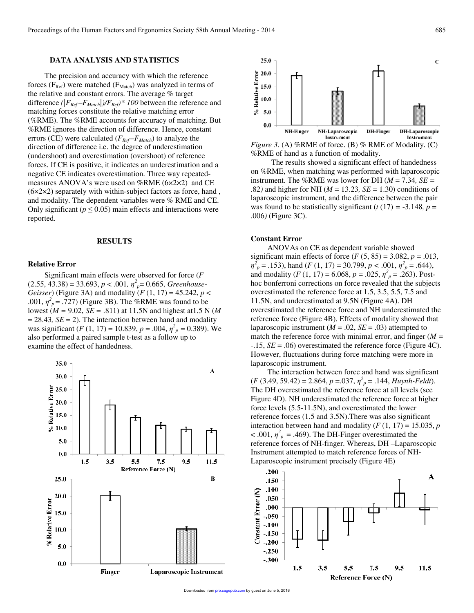## **DATA ANALYSIS AND STATISTICS**

The precision and accuracy with which the reference forces ( $F_{Ref}$ ) were matched ( $F_{Match}$ ) was analyzed in terms of the relative and constant errors. The average % target difference  $(|F_{Ref} - F_{Match}|)/F_{Ref}$ <sup>\*</sup> 100 between the reference and matching forces constitute the relative matching error (%RME). The %RME accounts for accuracy of matching. But %RME ignores the direction of difference. Hence, constant errors (CE) were calculated ( $F_{Ref}$  $-F_{Match}$ ) to analyze the direction of difference i.e. the degree of underestimation (undershoot) and overestimation (overshoot) of reference forces. If CE is positive, it indicates an underestimation and a negative CE indicates overestimation. Three way repeatedmeasures ANOVA's were used on %RME (6×2×2) and CE  $(6 \times 2 \times 2)$  separately with within-subject factors as force, hand, and modality. The dependent variables were % RME and CE. Only significant ( $p \leq 0.05$ ) main effects and interactions were reported.

### **RESULTS**

#### **Relative Error**

Significant main effects were observed for force (*F*   $(2.55, 43.38) = 33.693, p < .001, \eta^2_p = 0.665, Greenhouse-$ *Geisser*) (Figure 3A) and modality (*F* (1, 17) = 45.242, *p* < .001,  $\eta^2_{\rho}$  = .727) (Figure 3B). The %RME was found to be lowest (*M =* 9.02, *SE =* .811) at 11.5N and highest at1.5 N (*M*   $= 28.43$ ,  $SE = 2$ ). The interaction between hand and modality was significant (*F* (1, 17) = 10.839,  $p = .004$ ,  $\eta_p^2 = 0.389$ ). We also performed a paired sample t-test as a follow up to examine the effect of handedness.





*Figure 3.* (A) %RME of force. (B) % RME of Modality. (C) %RME of hand as a function of modality.

 The results showed a significant effect of handedness on %RME, when matching was performed with laparoscopic instrument. The %RME was lower for DH  $(M = 7.34, SE =$ .82*)* and higher for NH (*M* = 13.23*, SE* = 1.30) conditions of laparoscopic instrument, and the difference between the pair was found to be statistically significant ( $t(17) = -3.148$ ,  $p =$ .006*)* (Figure 3C).

#### **Constant Error**

ANOVAs on CE as dependent variable showed significant main effects of force  $(F (5, 85) = 3.082, p = .013,$  $\eta_p^2$  = .153), hand (*F* (1, 17) = 30.799, *p* < .001,  $\eta_p^2$  = .644), and modality (*F* (1, 17) = 6.068,  $p = .025$ ,  $\eta_p^2 = .263$ ). Posthoc bonferroni corrections on force revealed that the subjects overestimated the reference force at 1.5, 3.5, 5.5, 7.5 and 11.5N, and underestimated at 9.5N (Figure 4A**)**. DH overestimated the reference force and NH underestimated the reference force (Figure 4B). Effects of modality showed that laparoscopic instrument ( $M = .02$ ,  $SE = .03$ ) attempted to match the reference force with minimal error, and finger (*M =*  -.15, *SE* = .06) overestimated the reference force (Figure 4C). However, fluctuations during force matching were more in laparoscopic instrument.

The interaction between force and hand was significant  $(F (3.49, 59.42) = 2.864, p = .037, \eta^2_p = .144, Huynh-Feldt).$ The DH overestimated the reference force at all levels (see Figure 4D). NH underestimated the reference force at higher force levels (5.5-11.5N), and overestimated the lower reference forces (1.5 and 3.5N).There was also significant interaction between hand and modality  $(F (1, 17) = 15.035, p)$  $< .001$ ,  $\eta_p^2 = .469$ ). The DH-Finger overestimated the reference forces of NH-finger. Whereas, DH –Laparoscopic Instrument attempted to match reference forces of NH-Laparoscopic instrument precisely (Figure 4E)

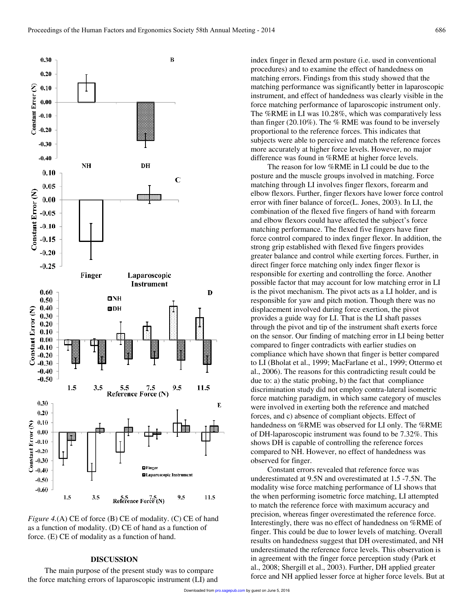![](_page_3_Figure_1.jpeg)

*Figure 4.*(A) CE of force (B) CE of modality. (C) CE of hand as a function of modality. (D) CE of hand as a function of force. (E) CE of modality as a function of hand.

#### **DISCUSSION**

The main purpose of the present study was to compare the force matching errors of laparoscopic instrument (LI) and index finger in flexed arm posture (i.e. used in conventional procedures) and to examine the effect of handedness on matching errors. Findings from this study showed that the matching performance was significantly better in laparoscopic instrument, and effect of handedness was clearly visible in the force matching performance of laparoscopic instrument only. The %RME in LI was 10.28%, which was comparatively less than finger  $(20.10\%)$ . The % RME was found to be inversely proportional to the reference forces. This indicates that subjects were able to perceive and match the reference forces more accurately at higher force levels. However, no major difference was found in %RME at higher force levels.

The reason for low %RME in LI could be due to the posture and the muscle groups involved in matching. Force matching through LI involves finger flexors, forearm and elbow flexors. Further, finger flexors have lower force control error with finer balance of force(L. Jones, 2003). In LI, the combination of the flexed five fingers of hand with forearm and elbow flexors could have affected the subject's force matching performance. The flexed five fingers have finer force control compared to index finger flexor. In addition, the strong grip established with flexed five fingers provides greater balance and control while exerting forces. Further, in direct finger force matching only index finger flexor is responsible for exerting and controlling the force. Another possible factor that may account for low matching error in LI is the pivot mechanism. The pivot acts as a LI holder, and is responsible for yaw and pitch motion. Though there was no displacement involved during force exertion, the pivot provides a guide way for LI. That is the LI shaft passes through the pivot and tip of the instrument shaft exerts force on the sensor. Our finding of matching error in LI being better compared to finger contradicts with earlier studies on compliance which have shown that finger is better compared to LI (Bholat et al., 1999; MacFarlane et al., 1999; Ottermo et al., 2006). The reasons for this contradicting result could be due to: a) the static probing, b) the fact that compliance discrimination study did not employ contra-lateral isometric force matching paradigm, in which same category of muscles were involved in exerting both the reference and matched forces, and c) absence of compliant objects. Effect of handedness on %RME was observed for LI only. The %RME of DH-laparoscopic instrument was found to be 7.32%. This shows DH is capable of controlling the reference forces compared to NH. However, no effect of handedness was observed for finger.

Constant errors revealed that reference force was underestimated at 9.5N and overestimated at 1.5 -7.5N. The modality wise force matching performance of LI shows that the when performing isometric force matching, LI attempted to match the reference force with maximum accuracy and precision, whereas finger overestimated the reference force. Interestingly, there was no effect of handedness on %RME of finger. This could be due to lower levels of matching. Overall results on handedness suggest that DH overestimated, and NH underestimated the reference force levels. This observation is in agreement with the finger force perception study (Park et al., 2008; Shergill et al., 2003). Further, DH applied greater force and NH applied lesser force at higher force levels. But at